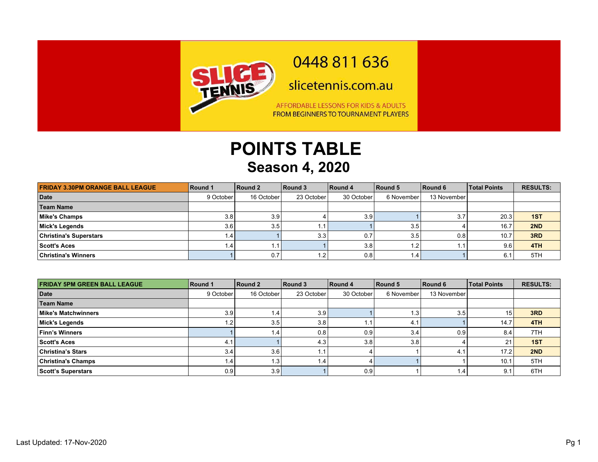

## 0448 811 636

slicetennis.com.au

AFFORDABLE LESSONS FOR KIDS & ADULTS FROM BEGINNERS TO TOURNAMENT PLAYERS

## **POINTS TABLE Season 4, 2020**

| <b>FRIDAY 3.30PM ORANGE BALL LEAGUE</b> | Round 1   | Round 2    | Round 3    | Round 4    | Round 5    | Round 6     | <b>Total Points</b> | <b>RESULTS:</b> |
|-----------------------------------------|-----------|------------|------------|------------|------------|-------------|---------------------|-----------------|
| Date                                    | 9 October | 16 October | 23 October | 30 October | 6 November | 13 November |                     |                 |
| <b>Team Name</b>                        |           |            |            |            |            |             |                     |                 |
| Mike's Champs                           | 3.8       | 3.9        |            | 3.9        |            | 3.7         | 20.3                | 1ST             |
| Mick's Legends                          | 3.6       | 3.5        | . .        |            | 3.5        |             | 16.7                | 2ND             |
| <b>Christina's Superstars</b>           |           |            | 3.3        | 0.7        | 3.5        | 0.8         | 10.7                | 3RD             |
| Scott's Aces                            |           | 1.1        |            | 3.8        | 1.2        | . .         | 9.6                 | 4TH             |
| <b>Christina's Winners</b>              |           | 0.7        | 1.2        | 0.8        | : 4،       |             | 6.1                 | 5TH             |

| <b>FRIDAY 5PM GREEN BALL LEAGUE</b> | Round 1   | Round 2          | Round 3    | Round 4    | Round 5    | Round 6     | <b>Total Points</b> | <b>RESULTS:</b> |
|-------------------------------------|-----------|------------------|------------|------------|------------|-------------|---------------------|-----------------|
| Date                                | 9 October | 16 October       | 23 October | 30 October | 6 November | 13 November |                     |                 |
| <b>Team Name</b>                    |           |                  |            |            |            |             |                     |                 |
| Mike's Matchwinners                 | 3.9       | 1.4              | 3.9        |            | . .3'      | 3.5         | 15                  | 3RD             |
| Mick's Legends                      |           | 3.5              | 3.8        |            | 4.         |             | 14.7                | 4TH             |
| <b>Finn's Winners</b>               |           | 1.4              | 0.8        | 0.9        | 3.4        | 0.9         | 8.4                 | 7TH             |
| <b>Scott's Aces</b>                 | 4.        |                  | 4.3        | 3.8        | 3.8        |             | $2^{\cdot}$         | 1ST             |
| <b>Christina's Stars</b>            | 3.4       | 3.6 <sub>1</sub> |            |            |            | 4.          | 17.2                | 2ND             |
| <b>Christina's Champs</b>           |           | l.3              | 1.4'       |            |            |             | 10.7                | 5TH             |
| <b>Scott's Superstars</b>           | 0.9       | 3.9              |            | 0.9        |            | 1.4'        | 9.1                 | 6TH             |